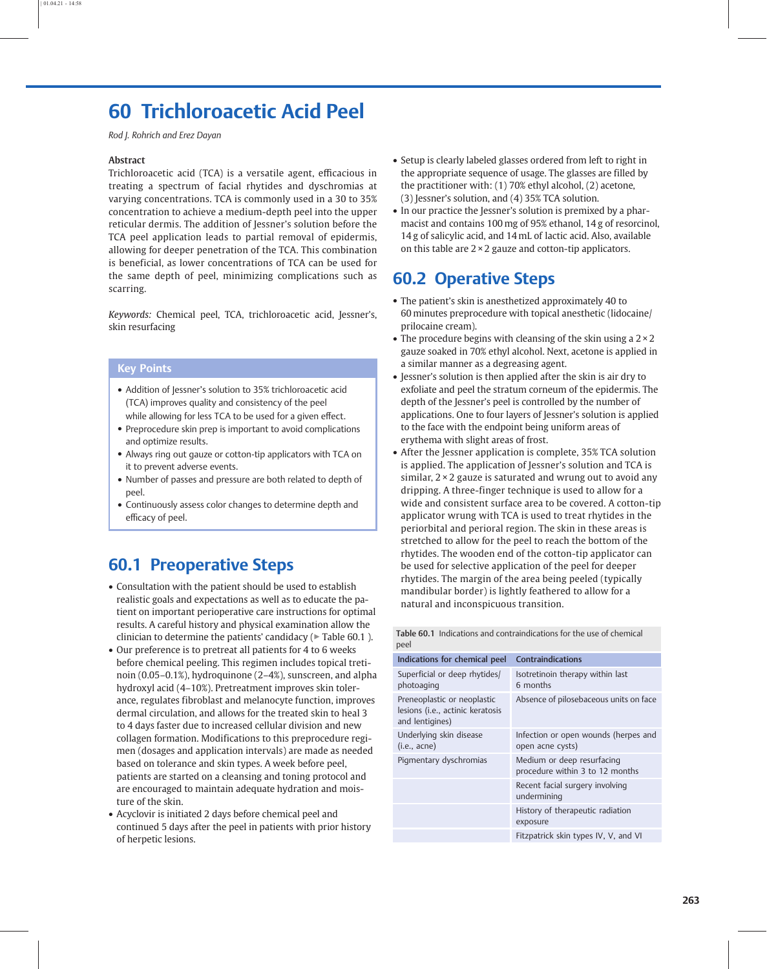# 60 Trichloroacetic Acid Peel

Rod J. Rohrich and Erez Dayan

#### Abstract

Trichloroacetic acid (TCA) is a versatile agent, efficacious in treating a spectrum of facial rhytides and dyschromias at varying concentrations. TCA is commonly used in a 30 to 35% concentration to achieve a medium-depth peel into the upper reticular dermis. The addition of Jessner's solution before the TCA peel application leads to partial removal of epidermis, allowing for deeper penetration of the TCA. This combination is beneficial, as lower concentrations of TCA can be used for the same depth of peel, minimizing complications such as scarring.

Keywords: Chemical peel, TCA, trichloroacetic acid, Jessner's, skin resurfacing

#### Key Points

- Addition of Jessner's solution to 35% trichloroacetic acid (TCA) improves quality and consistency of the peel while allowing for less TCA to be used for a given effect.
- Preprocedure skin prep is important to avoid complications and optimize results.
- Always ring out gauze or cotton-tip applicators with TCA on it to prevent adverse events.
- Number of passes and pressure are both related to depth of peel.
- Continuously assess color changes to determine depth and efficacy of peel.

## 60.1 Preoperative Steps

- Consultation with the patient should be used to establish realistic goals and expectations as well as to educate the patient on important perioperative care instructions for optimal results. A careful history and physical examination allow the clinician to determine the patients' candidacy ( $\triangleright$  Table 60.1).
- Our preference is to pretreat all patients for 4 to 6 weeks before chemical peeling. This regimen includes topical tretinoin (0.05–0.1%), hydroquinone (2–4%), sunscreen, and alpha hydroxyl acid (4–10%). Pretreatment improves skin tolerance, regulates fibroblast and melanocyte function, improves dermal circulation, and allows for the treated skin to heal 3 to 4 days faster due to increased cellular division and new collagen formation. Modifications to this preprocedure regimen (dosages and application intervals) are made as needed based on tolerance and skin types. A week before peel, patients are started on a cleansing and toning protocol and are encouraged to maintain adequate hydration and moisture of the skin.
- Acyclovir is initiated 2 days before chemical peel and continued 5 days after the peel in patients with prior history of herpetic lesions.
- Setup is clearly labeled glasses ordered from left to right in the appropriate sequence of usage. The glasses are filled by the practitioner with: (1) 70% ethyl alcohol, (2) acetone, (3) Jessner's solution, and (4) 35% TCA solution.
- In our practice the Jessner's solution is premixed by a pharmacist and contains 100 mg of 95% ethanol, 14 g of resorcinol, 14 g of salicylic acid, and 14 mL of lactic acid. Also, available on this table are  $2 \times 2$  gauze and cotton-tip applicators.

### 60.2 Operative Steps

- The patient's skin is anesthetized approximately 40 to 60 minutes preprocedure with topical anesthetic (lidocaine/ prilocaine cream).
- The procedure begins with cleansing of the skin using a  $2 \times 2$ gauze soaked in 70% ethyl alcohol. Next, acetone is applied in a similar manner as a degreasing agent.
- Jessner's solution is then applied after the skin is air dry to exfoliate and peel the stratum corneum of the epidermis. The depth of the Jessner's peel is controlled by the number of applications. One to four layers of Jessner's solution is applied to the face with the endpoint being uniform areas of erythema with slight areas of frost.
- After the Jessner application is complete, 35% TCA solution is applied. The application of Jessner's solution and TCA is similar,  $2 \times 2$  gauze is saturated and wrung out to avoid any dripping. A three-finger technique is used to allow for a wide and consistent surface area to be covered. A cotton-tip applicator wrung with TCA is used to treat rhytides in the periorbital and perioral region. The skin in these areas is stretched to allow for the peel to reach the bottom of the rhytides. The wooden end of the cotton-tip applicator can be used for selective application of the peel for deeper rhytides. The margin of the area being peeled (typically mandibular border) is lightly feathered to allow for a natural and inconspicuous transition.

|      | Table 60.1 Indications and contraindications for the use of chemical |
|------|----------------------------------------------------------------------|
| peel |                                                                      |

| <b>Contraindications</b>                                      |
|---------------------------------------------------------------|
| Isotretinoin therapy within last<br>6 months                  |
| Absence of pilosebaceous units on face                        |
| Infection or open wounds (herpes and<br>open acne cysts)      |
| Medium or deep resurfacing<br>procedure within 3 to 12 months |
| Recent facial surgery involving<br>undermining                |
| History of therapeutic radiation<br>exposure                  |
| Fitzpatrick skin types IV, V, and VI                          |
|                                                               |